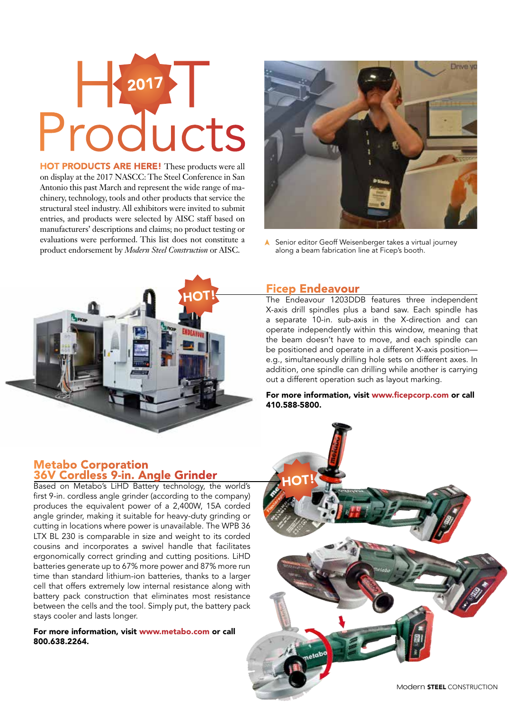# H 2017 Products 2017

HOT PRODUCTS ARE HERE! These products were all on display at the 2017 NASCC: The Steel Conference in San Antonio this past March and represent the wide range of machinery, technology, tools and other products that service the structural steel industry. All exhibitors were invited to submit entries, and products were selected by AISC staff based on manufacturers' descriptions and claims; no product testing or evaluations were performed. This list does not constitute a product endorsement by *Modern Steel Construction* or AISC.



Senior editor Geoff Weisenberger takes a virtual journey along a beam fabrication line at Ficep's booth.



#### Ficep Endeavour

The Endeavour 1203DDB features three independent X-axis drill spindles plus a band saw. Each spindle has a separate 10-in. sub-axis in the X-direction and can operate independently within this window, meaning that the beam doesn't have to move, and each spindle can be positioned and operate in a different X-axis position e.g., simultaneously drilling hole sets on different axes. In addition, one spindle can drilling while another is carrying out a different operation such as layout marking.

For more information, visit www.ficepcorp.com or call 410.588-5800.

#### Metabo Corporation 36V Cordless 9-in. Angle Grinder

Based on Metabo's LiHD Battery technology, the world's first 9-in. cordless angle grinder (according to the company) produces the equivalent power of a 2,400W, 15A corded angle grinder, making it suitable for heavy-duty grinding or cutting in locations where power is unavailable. The WPB 36 LTX BL 230 is comparable in size and weight to its corded cousins and incorporates a swivel handle that facilitates ergonomically correct grinding and cutting positions. LiHD batteries generate up to 67% more power and 87% more run time than standard lithium-ion batteries, thanks to a larger cell that offers extremely low internal resistance along with battery pack construction that eliminates most resistance between the cells and the tool. Simply put, the battery pack stays cooler and lasts longer.

For more information, visit www.metabo.com or call 800.638.2264.

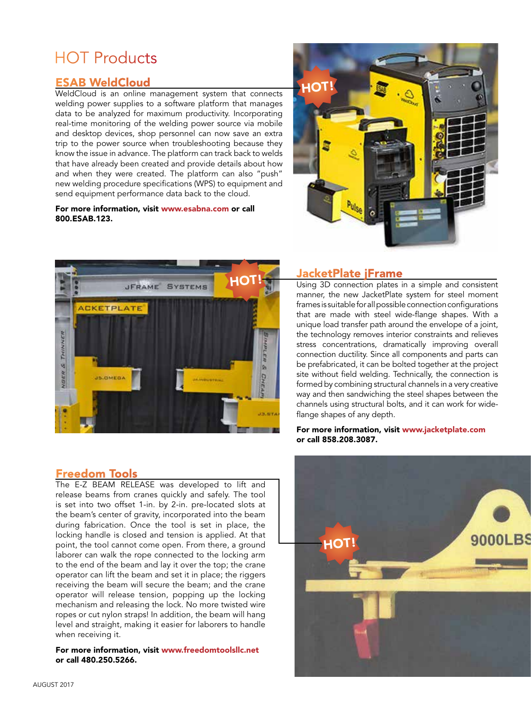# HOT Products

# ESAB WeldCloud

WeldCloud is an online management system that connects welding power supplies to a software platform that manages data to be analyzed for maximum productivity. Incorporating real-time monitoring of the welding power source via mobile and desktop devices, shop personnel can now save an extra trip to the power source when troubleshooting because they know the issue in advance. The platform can track back to welds that have already been created and provide details about how and when they were created. The platform can also "push" new welding procedure specifications (WPS) to equipment and send equipment performance data back to the cloud.

#### For more information, visit www.esabna.com or call 800.ESAB.123.





## JacketPlate jFrame

Using 3D connection plates in a simple and consistent manner, the new JacketPlate system for steel moment frames is suitable for all possible connection configurations that are made with steel wide-flange shapes. With a unique load transfer path around the envelope of a joint, the technology removes interior constraints and relieves stress concentrations, dramatically improving overall connection ductility. Since all components and parts can be prefabricated, it can be bolted together at the project site without field welding. Technically, the connection is formed by combining structural channels in a very creative way and then sandwiching the steel shapes between the channels using structural bolts, and it can work for wideflange shapes of any depth.

#### For more information, visit www.jacketplate.com or call 858.208.3087.

## Freedom Tools

The E-Z BEAM RELEASE was developed to lift and release beams from cranes quickly and safely. The tool is set into two offset 1-in. by 2-in. pre-located slots at the beam's center of gravity, incorporated into the beam during fabrication. Once the tool is set in place, the locking handle is closed and tension is applied. At that point, the tool cannot come open. From there, a ground laborer can walk the rope connected to the locking arm to the end of the beam and lay it over the top; the crane operator can lift the beam and set it in place; the riggers receiving the beam will secure the beam; and the crane operator will release tension, popping up the locking mechanism and releasing the lock. No more twisted wire ropes or cut nylon straps! In addition, the beam will hang level and straight, making it easier for laborers to handle when receiving it.

For more information, visit www.freedomtoolsllc.net or call 480.250.5266.

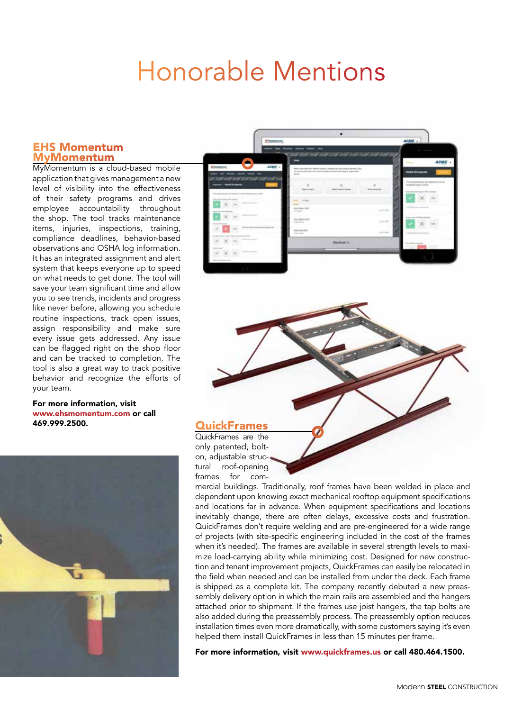# Honorable Mentions

#### EHS Momentum MyMomentum

MyMomentum is a cloud-based mobile application that gives management a new level of visibility into the effectiveness of their safety programs and drives employee accountability throughout the shop. The tool tracks maintenance items, injuries, inspections, training, compliance deadlines, behavior-based observations and OSHA log information. It has an integrated assignment and alert system that keeps everyone up to speed on what needs to get done. The tool will save your team significant time and allow you to see trends, incidents and progress like never before, allowing you schedule routine inspections, track open issues, assign responsibility and make sure every issue gets addressed. Any issue can be flagged right on the shop floor and can be tracked to completion. The tool is also a great way to track positive behavior and recognize the efforts of your team.

#### For more information, visit www.ehsmomentum.com or call 469.999.2500. QuickFrames







only patented, bolton, adjustable structural roof-opening frames for com-

mercial buildings. Traditionally, roof frames have been welded in place and dependent upon knowing exact mechanical rooftop equipment specifications and locations far in advance. When equipment specifications and locations inevitably change, there are often delays, excessive costs and frustration. QuickFrames don't require welding and are pre-engineered for a wide range of projects (with site-specific engineering included in the cost of the frames when it's needed). The frames are available in several strength levels to maximize load-carrying ability while minimizing cost. Designed for new construction and tenant improvement projects, QuickFrames can easily be relocated in the field when needed and can be installed from under the deck. Each frame is shipped as a complete kit. The company recently debuted a new preassembly delivery option in which the main rails are assembled and the hangers attached prior to shipment. If the frames use joist hangers, the tap bolts are also added during the preassembly process. The preassembly option reduces installation times even more dramatically, with some customers saying it's even helped them install QuickFrames in less than 15 minutes per frame.

For more information, visit www.quickframes.us or call 480.464.1500.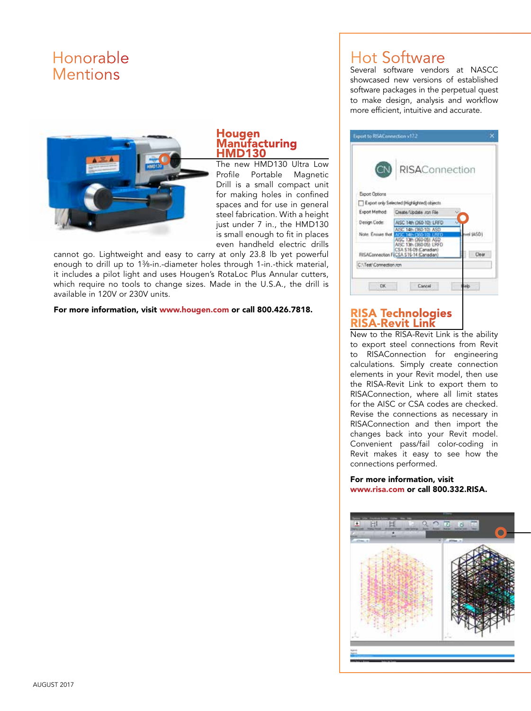# Honorable **Mentions**



#### **Hougen Manufacturing** HMD130

The new HMD130 Ultra Low Profile Portable Magnetic Drill is a small compact unit for making holes in confined spaces and for use in general steel fabrication. With a height just under 7 in., the HMD130 is small enough to fit in places even handheld electric drills

cannot go. Lightweight and easy to carry at only 23.8 lb yet powerful enough to drill up to 13∕8-in.-diameter holes through 1-in.-thick material, it includes a pilot light and uses Hougen's RotaLoc Plus Annular cutters, which require no tools to change sizes. Made in the U.S.A., the drill is available in 120V or 230V units.

For more information, visit www.hougen.com or call 800.426.7818.

# Hot Software

Several software vendors at NASCC showcased new versions of established software packages in the perpetual quest to make design, analysis and workflow more efficient, intuitive and accurate.

|                        | CN RISAConnection                                                                                |           |
|------------------------|--------------------------------------------------------------------------------------------------|-----------|
| Export Options         |                                                                                                  |           |
|                        | Export only Selected (Highlighted) objects.                                                      |           |
|                        | Export Method Create/Update ron File                                                             |           |
| Design Code:           | AISC 14th (360-10): LRFD                                                                         |           |
|                        | AISC 14h (360-10): ASD<br>Note: Ensure that Arts: 14th (360-10) LRFD.<br>AISC 13th (360-05): ASD | vel (ASD) |
|                        | AISC 13th (360-05): LRFD<br>CSA \$16-09 (Canadian)<br>RISAConnection FICSA S16-14 (Canadian)     | Clear     |
| C.\Test\Connection.rcn |                                                                                                  |           |
|                        |                                                                                                  |           |
| DK.                    | Cancel<br>ыs                                                                                     |           |

# **RISA Technologies<br>RISA-Revit Link**

New to the RISA-Revit Link is the ability to export steel connections from Revit to RISAConnection for engineering calculations. Simply create connection elements in your Revit model, then use the RISA-Revit Link to export them to RISAConnection, where all limit states for the AISC or CSA codes are checked. Revise the connections as necessary in RISAConnection and then import the changes back into your Revit model. Convenient pass/fail color-coding in Revit makes it easy to see how the connections performed.

#### For more information, visit www.risa.com or call 800.332.RISA.

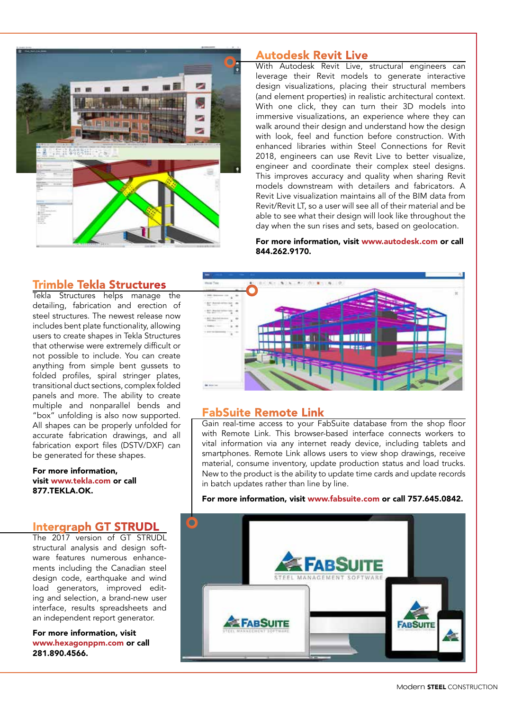

#### Autodesk Revit Live

With Autodesk Revit Live, structural engineers can leverage their Revit models to generate interactive design visualizations, placing their structural members (and element properties) in realistic architectural context. With one click, they can turn their 3D models into immersive visualizations, an experience where they can walk around their design and understand how the design with look, feel and function before construction. With enhanced libraries within Steel Connections for Revit 2018, engineers can use Revit Live to better visualize, engineer and coordinate their complex steel designs. This improves accuracy and quality when sharing Revit models downstream with detailers and fabricators. A Revit Live visualization maintains all of the BIM data from Revit/Revit LT, so a user will see all of their material and be able to see what their design will look like throughout the day when the sun rises and sets, based on geolocation.

#### For more information, visit www.autodesk.com or call 844.262.9170.

# m 11 II **STORY**

#### FabSuite Remote Link

Gain real-time access to your FabSuite database from the shop floor with Remote Link. This browser-based interface connects workers to vital information via any internet ready device, including tablets and smartphones. Remote Link allows users to view shop drawings, receive material, consume inventory, update production status and load trucks. New to the product is the ability to update time cards and update records in batch updates rather than line by line.

#### For more information, visit www.fabsuite.com or call 757.645.0842.



#### Trimble Tekla Structures

Tekla Structures helps manage the detailing, fabrication and erection of steel structures. The newest release now includes bent plate functionality, allowing users to create shapes in Tekla Structures that otherwise were extremely difficult or not possible to include. You can create anything from simple bent gussets to folded profiles, spiral stringer plates, transitional duct sections, complex folded panels and more. The ability to create multiple and nonparallel bends and "box" unfolding is also now supported. All shapes can be properly unfolded for accurate fabrication drawings, and all fabrication export files (DSTV/DXF) can be generated for these shapes.

#### For more information, visit www.tekla.com or call 877.TEKLA.OK.

#### Intergraph GT STRUDL

The 2017 version of GT STRUDL structural analysis and design software features numerous enhancements including the Canadian steel design code, earthquake and wind load generators, improved editing and selection, a brand-new user interface, results spreadsheets and an independent report generator.

For more information, visit www.hexagonppm.com or call 281.890.4566.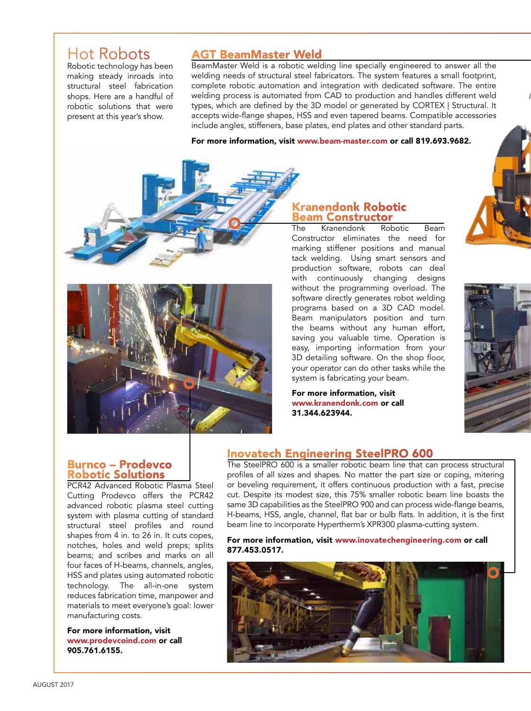# Hot Robots

Robotic technology has been making steady inroads into structural steel fabrication shops. Here are a handful of robotic solutions that were present at this year's show.

## AGT BeamMaster Weld

BeamMaster Weld is a robotic welding line specially engineered to answer all the welding needs of structural steel fabricators. The system features a small footprint, complete robotic automation and integration with dedicated software. The entire welding process is automated from CAD to production and handles different weld types, which are defined by the 3D model or generated by CORTEX | Structural. It accepts wide-flange shapes, HSS and even tapered beams. Compatible accessories include angles, stiffeners, base plates, end plates and other standard parts.

For more information, visit www.beam-master.com or call 819.693.9682.





# Kranendonk Robotic **Beam Constructor**<br>The Kranendonk Robotic

The Kranendonk Robotic Beam Constructor eliminates the need for marking stiffener positions and manual tack welding. Using smart sensors and production software, robots can deal with continuously changing designs without the programming overload. The software directly generates robot welding programs based on a 3D CAD model. Beam manipulators position and turn the beams without any human effort, saving you valuable time. Operation is easy, importing information from your 3D detailing software. On the shop floor, your operator can do other tasks while the system is fabricating your beam.

For more information, visit www.kranendonk.com or call 31.344.623944.





#### Burnco – Prodevco Robotic Solutions

PCR42 Advanced Robotic Plasma Steel Cutting Prodevco offers the PCR42 advanced robotic plasma steel cutting system with plasma cutting of standard structural steel profiles and round shapes from 4 in. to 26 in. It cuts copes, notches, holes and weld preps; splits beams; and scribes and marks on all four faces of H-beams, channels, angles, HSS and plates using automated robotic technology. The all-in-one system reduces fabrication time, manpower and materials to meet everyone's goal: lower manufacturing costs.

For more information, visit www.prodevcoind.com or call 905.761.6155.

## Inovatech Engineering SteelPRO 600

The SteelPRO 600 is a smaller robotic beam line that can process structural profiles of all sizes and shapes. No matter the part size or coping, mitering or beveling requirement, it offers continuous production with a fast, precise cut. Despite its modest size, this 75% smaller robotic beam line boasts the same 3D capabilities as the SteelPRO 900 and can process wide-flange beams, H-beams, HSS, angle, channel, flat bar or bulb flats. In addition, it is the first beam line to incorporate Hypertherm's XPR300 plasma-cutting system.

For more information, visit www.inovatechengineering.com or call 877.453.0517.